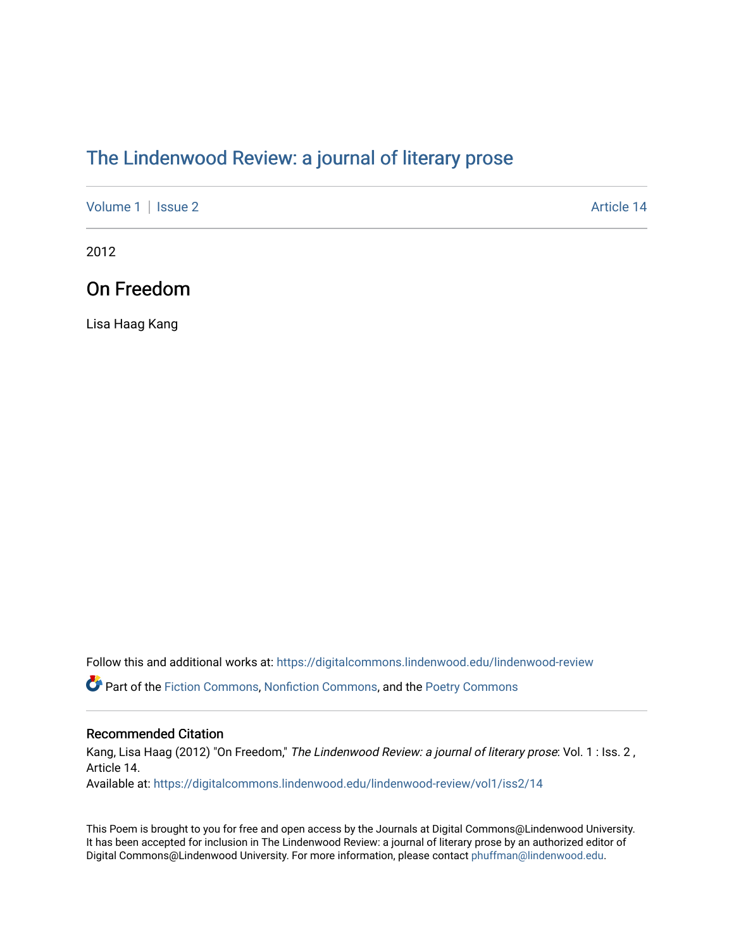## [The Lindenwood Review: a journal of literary prose](https://digitalcommons.lindenwood.edu/lindenwood-review)

[Volume 1](https://digitalcommons.lindenwood.edu/lindenwood-review/vol1) | [Issue 2](https://digitalcommons.lindenwood.edu/lindenwood-review/vol1/iss2) Article 14

2012

## On Freedom

Lisa Haag Kang

Follow this and additional works at: [https://digitalcommons.lindenwood.edu/lindenwood-review](https://digitalcommons.lindenwood.edu/lindenwood-review?utm_source=digitalcommons.lindenwood.edu%2Flindenwood-review%2Fvol1%2Fiss2%2F14&utm_medium=PDF&utm_campaign=PDFCoverPages)

Part of the [Fiction Commons,](http://network.bepress.com/hgg/discipline/1151?utm_source=digitalcommons.lindenwood.edu%2Flindenwood-review%2Fvol1%2Fiss2%2F14&utm_medium=PDF&utm_campaign=PDFCoverPages) [Nonfiction Commons](http://network.bepress.com/hgg/discipline/1152?utm_source=digitalcommons.lindenwood.edu%2Flindenwood-review%2Fvol1%2Fiss2%2F14&utm_medium=PDF&utm_campaign=PDFCoverPages), and the [Poetry Commons](http://network.bepress.com/hgg/discipline/1153?utm_source=digitalcommons.lindenwood.edu%2Flindenwood-review%2Fvol1%2Fiss2%2F14&utm_medium=PDF&utm_campaign=PDFCoverPages)

## Recommended Citation

Kang, Lisa Haag (2012) "On Freedom," The Lindenwood Review: a journal of literary prose: Vol. 1 : Iss. 2, Article 14.

Available at: [https://digitalcommons.lindenwood.edu/lindenwood-review/vol1/iss2/14](https://digitalcommons.lindenwood.edu/lindenwood-review/vol1/iss2/14?utm_source=digitalcommons.lindenwood.edu%2Flindenwood-review%2Fvol1%2Fiss2%2F14&utm_medium=PDF&utm_campaign=PDFCoverPages)

This Poem is brought to you for free and open access by the Journals at Digital Commons@Lindenwood University. It has been accepted for inclusion in The Lindenwood Review: a journal of literary prose by an authorized editor of Digital Commons@Lindenwood University. For more information, please contact [phuffman@lindenwood.edu.](mailto:phuffman@lindenwood.edu)